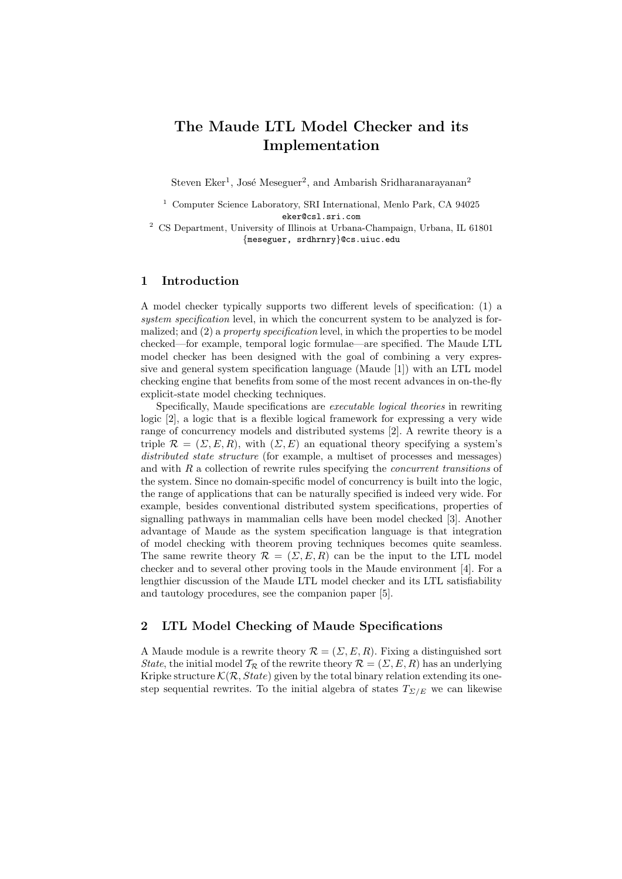# The Maude LTL Model Checker and its Implementation

Steven Eker<sup>1</sup>, José Meseguer<sup>2</sup>, and Ambarish Sridharanarayanan<sup>2</sup>

<sup>1</sup> Computer Science Laboratory, SRI International, Menlo Park, CA 94025 eker@csl.sri.com

 $^2$  CS Department, University of Illinois at Urbana-Champaign, Urbana, IL 61801 {meseguer, srdhrnry}@cs.uiuc.edu

## 1 Introduction

A model checker typically supports two different levels of specification: (1) a system specification level, in which the concurrent system to be analyzed is formalized; and (2) a *property specification* level, in which the properties to be model checked—for example, temporal logic formulae—are specified. The Maude LTL model checker has been designed with the goal of combining a very expressive and general system specification language (Maude [1]) with an LTL model checking engine that benefits from some of the most recent advances in on-the-fly explicit-state model checking techniques.

Specifically, Maude specifications are executable logical theories in rewriting logic [2], a logic that is a flexible logical framework for expressing a very wide range of concurrency models and distributed systems [2]. A rewrite theory is a triple  $\mathcal{R} = (\Sigma, E, R)$ , with  $(\Sigma, E)$  an equational theory specifying a system's distributed state structure (for example, a multiset of processes and messages) and with  $R$  a collection of rewrite rules specifying the *concurrent transitions* of the system. Since no domain-specific model of concurrency is built into the logic, the range of applications that can be naturally specified is indeed very wide. For example, besides conventional distributed system specifications, properties of signalling pathways in mammalian cells have been model checked [3]. Another advantage of Maude as the system specification language is that integration of model checking with theorem proving techniques becomes quite seamless. The same rewrite theory  $\mathcal{R} = (\Sigma, E, R)$  can be the input to the LTL model checker and to several other proving tools in the Maude environment [4]. For a lengthier discussion of the Maude LTL model checker and its LTL satisfiability and tautology procedures, see the companion paper [5].

## 2 LTL Model Checking of Maude Specifications

A Maude module is a rewrite theory  $\mathcal{R} = (\Sigma, E, R)$ . Fixing a distinguished sort State, the initial model  $\mathcal{T}_{\mathcal{R}}$  of the rewrite theory  $\mathcal{R} = (\Sigma, E, R)$  has an underlying Kripke structure  $\mathcal{K}(\mathcal{R}, State)$  given by the total binary relation extending its onestep sequential rewrites. To the initial algebra of states  $T_{\Sigma/E}$  we can likewise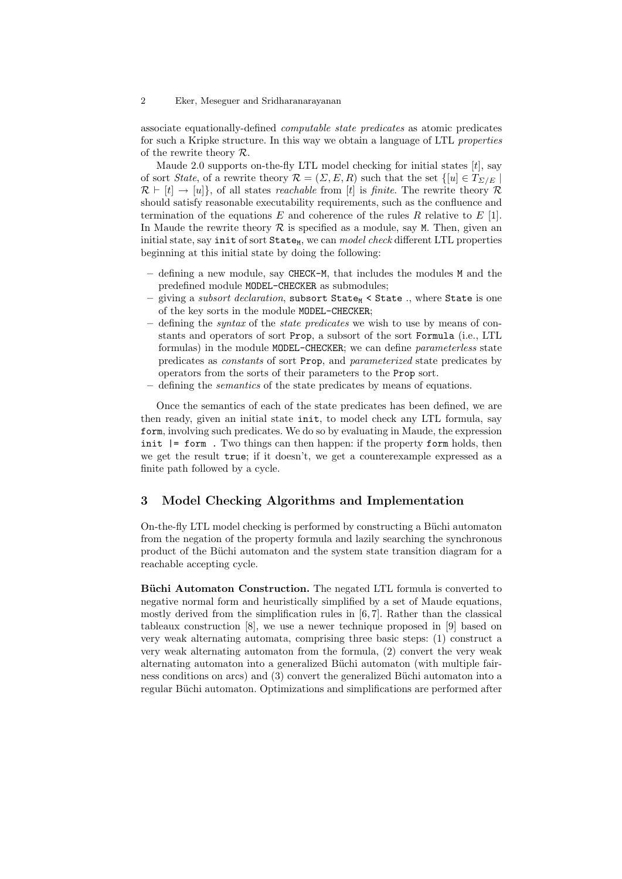#### 2 Eker, Meseguer and Sridharanarayanan

associate equationally-defined computable state predicates as atomic predicates for such a Kripke structure. In this way we obtain a language of LTL properties of the rewrite theory  $\mathcal{R}$ .

Maude 2.0 supports on-the-fly LTL model checking for initial states  $[t]$ , say of sort *State*, of a rewrite theory  $\mathcal{R} = (\Sigma, E, R)$  such that the set  $\{[u] \in T_{\Sigma/F} \}$  $\mathcal{R} \vdash [t] \rightarrow [u]$ , of all states *reachable* from [t] is *finite*. The rewrite theory R should satisfy reasonable executability requirements, such as the confluence and termination of the equations E and coherence of the rules R relative to  $E$  [1]. In Maude the rewrite theory  $\mathcal R$  is specified as a module, say M. Then, given an initial state, say init of sort State<sub>M</sub>, we can *model check* different LTL properties beginning at this initial state by doing the following:

- defining a new module, say CHECK-M, that includes the modules M and the predefined module MODEL-CHECKER as submodules;
- giving a *subsort declaration*, subsort  $State_M$  < State ., where State is one of the key sorts in the module MODEL-CHECKER;
- defining the syntax of the state predicates we wish to use by means of constants and operators of sort Prop, a subsort of the sort Formula (i.e., LTL formulas) in the module MODEL-CHECKER; we can define parameterless state predicates as constants of sort Prop, and parameterized state predicates by operators from the sorts of their parameters to the Prop sort.
- defining the *semantics* of the state predicates by means of equations.

Once the semantics of each of the state predicates has been defined, we are then ready, given an initial state init, to model check any LTL formula, say form, involving such predicates. We do so by evaluating in Maude, the expression init  $\vert$  = form. Two things can then happen: if the property form holds, then we get the result true; if it doesn't, we get a counterexample expressed as a finite path followed by a cycle.

## 3 Model Checking Algorithms and Implementation

On-the-fly LTL model checking is performed by constructing a Büchi automaton from the negation of the property formula and lazily searching the synchronous product of the Büchi automaton and the system state transition diagram for a reachable accepting cycle.

Büchi Automaton Construction. The negated LTL formula is converted to negative normal form and heuristically simplified by a set of Maude equations, mostly derived from the simplification rules in [6, 7]. Rather than the classical tableaux construction [8], we use a newer technique proposed in [9] based on very weak alternating automata, comprising three basic steps: (1) construct a very weak alternating automaton from the formula, (2) convert the very weak alternating automaton into a generalized Büchi automaton (with multiple fairness conditions on arcs) and (3) convert the generalized Büchi automaton into a regular Büchi automaton. Optimizations and simplifications are performed after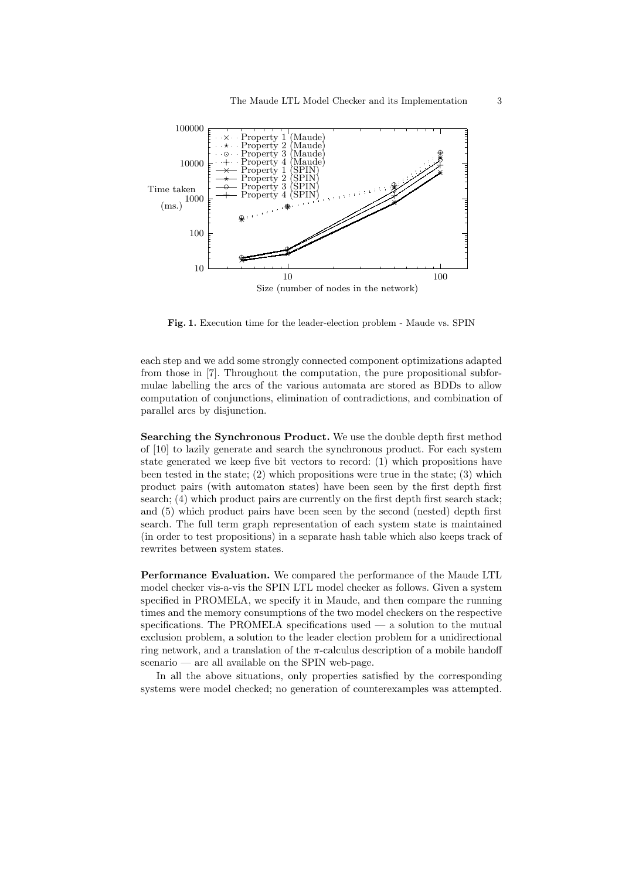

Fig. 1. Execution time for the leader-election problem - Maude vs. SPIN

each step and we add some strongly connected component optimizations adapted from those in [7]. Throughout the computation, the pure propositional subformulae labelling the arcs of the various automata are stored as BDDs to allow computation of conjunctions, elimination of contradictions, and combination of parallel arcs by disjunction.

Searching the Synchronous Product. We use the double depth first method of [10] to lazily generate and search the synchronous product. For each system state generated we keep five bit vectors to record: (1) which propositions have been tested in the state;  $(2)$  which propositions were true in the state;  $(3)$  which product pairs (with automaton states) have been seen by the first depth first search; (4) which product pairs are currently on the first depth first search stack; and (5) which product pairs have been seen by the second (nested) depth first search. The full term graph representation of each system state is maintained (in order to test propositions) in a separate hash table which also keeps track of rewrites between system states.

Performance Evaluation. We compared the performance of the Maude LTL model checker vis-a-vis the SPIN LTL model checker as follows. Given a system specified in PROMELA, we specify it in Maude, and then compare the running times and the memory consumptions of the two model checkers on the respective specifications. The PROMELA specifications used  $-$  a solution to the mutual exclusion problem, a solution to the leader election problem for a unidirectional ring network, and a translation of the  $\pi$ -calculus description of a mobile handoff scenario — are all available on the SPIN web-page.

In all the above situations, only properties satisfied by the corresponding systems were model checked; no generation of counterexamples was attempted.